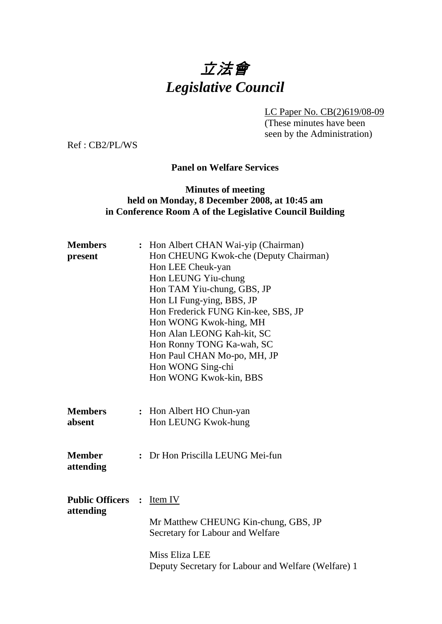

LC Paper No. CB(2)619/08-09 (These minutes have been seen by the Administration)

Ref : CB2/PL/WS

## **Panel on Welfare Services**

# **Minutes of meeting held on Monday, 8 December 2008, at 10:45 am in Conference Room A of the Legislative Council Building**

| Hon Albert CHAN Wai-yip (Chairman)                  |
|-----------------------------------------------------|
| Hon CHEUNG Kwok-che (Deputy Chairman)               |
| Hon LEE Cheuk-yan                                   |
| Hon LEUNG Yiu-chung                                 |
| Hon TAM Yiu-chung, GBS, JP                          |
| Hon LI Fung-ying, BBS, JP                           |
| Hon Frederick FUNG Kin-kee, SBS, JP                 |
| Hon WONG Kwok-hing, MH                              |
| Hon Alan LEONG Kah-kit, SC                          |
| Hon Ronny TONG Ka-wah, SC                           |
| Hon Paul CHAN Mo-po, MH, JP                         |
| Hon WONG Sing-chi                                   |
| Hon WONG Kwok-kin, BBS                              |
|                                                     |
| : Hon Albert HO Chun-yan                            |
| Hon LEUNG Kwok-hung                                 |
|                                                     |
| : Dr Hon Priscilla LEUNG Mei-fun                    |
|                                                     |
|                                                     |
|                                                     |
| Item IV                                             |
| Mr Matthew CHEUNG Kin-chung, GBS, JP                |
| Secretary for Labour and Welfare                    |
|                                                     |
| Miss Eliza LEE                                      |
| Deputy Secretary for Labour and Welfare (Welfare) 1 |
| <b>Public Officers :</b>                            |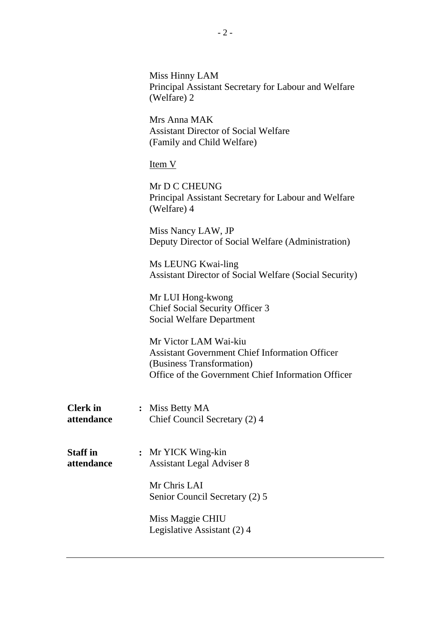|                               | Miss Hinny LAM<br>Principal Assistant Secretary for Labour and Welfare<br>(Welfare) 2                                                                             |
|-------------------------------|-------------------------------------------------------------------------------------------------------------------------------------------------------------------|
|                               | Mrs Anna MAK<br><b>Assistant Director of Social Welfare</b><br>(Family and Child Welfare)                                                                         |
|                               | $Item V$                                                                                                                                                          |
|                               | Mr D C CHEUNG<br>Principal Assistant Secretary for Labour and Welfare<br>(Welfare) 4                                                                              |
|                               | Miss Nancy LAW, JP<br>Deputy Director of Social Welfare (Administration)                                                                                          |
|                               | Ms LEUNG Kwai-ling<br><b>Assistant Director of Social Welfare (Social Security)</b>                                                                               |
|                               | Mr LUI Hong-kwong<br><b>Chief Social Security Officer 3</b><br><b>Social Welfare Department</b>                                                                   |
|                               | Mr Victor LAM Wai-kiu<br><b>Assistant Government Chief Information Officer</b><br>(Business Transformation)<br>Office of the Government Chief Information Officer |
| <b>Clerk</b> in<br>attendance | : Miss Betty MA<br>Chief Council Secretary (2) 4                                                                                                                  |
| <b>Staff</b> in<br>attendance | : Mr YICK Wing-kin<br><b>Assistant Legal Adviser 8</b>                                                                                                            |
|                               | Mr Chris LAI<br>Senior Council Secretary (2) 5                                                                                                                    |
|                               | Miss Maggie CHIU<br>Legislative Assistant (2) 4                                                                                                                   |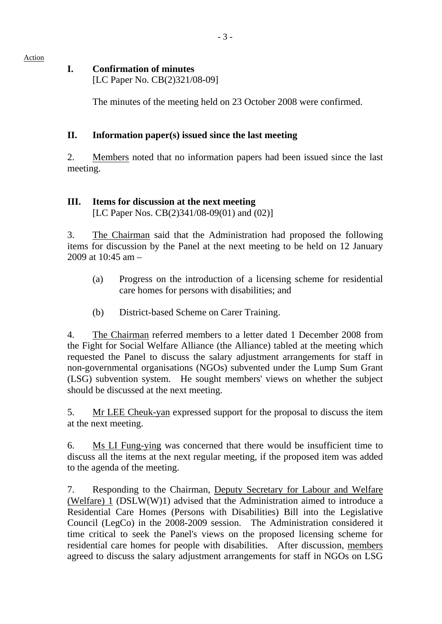Action

#### **I. Confirmation of minutes**

[LC Paper No. CB(2)321/08-09]

The minutes of the meeting held on 23 October 2008 were confirmed.

## **II. Information paper(s) issued since the last meeting**

2. Members noted that no information papers had been issued since the last meeting.

# **III. Items for discussion at the next meeting**

[LC Paper Nos. CB(2)341/08-09(01) and (02)]

3. The Chairman said that the Administration had proposed the following items for discussion by the Panel at the next meeting to be held on 12 January 2009 at  $10.45$  am  $-$ 

- (a) Progress on the introduction of a licensing scheme for residential care homes for persons with disabilities; and
- (b) District-based Scheme on Carer Training.

4. The Chairman referred members to a letter dated 1 December 2008 from the Fight for Social Welfare Alliance (the Alliance) tabled at the meeting which requested the Panel to discuss the salary adjustment arrangements for staff in non-governmental organisations (NGOs) subvented under the Lump Sum Grant (LSG) subvention system. He sought members' views on whether the subject should be discussed at the next meeting.

5. Mr LEE Cheuk-yan expressed support for the proposal to discuss the item at the next meeting.

6. Ms LI Fung-ying was concerned that there would be insufficient time to discuss all the items at the next regular meeting, if the proposed item was added to the agenda of the meeting.

7. Responding to the Chairman, Deputy Secretary for Labour and Welfare (Welfare) 1 (DSLW(W)1) advised that the Administration aimed to introduce a Residential Care Homes (Persons with Disabilities) Bill into the Legislative Council (LegCo) in the 2008-2009 session. The Administration considered it time critical to seek the Panel's views on the proposed licensing scheme for residential care homes for people with disabilities. After discussion, members agreed to discuss the salary adjustment arrangements for staff in NGOs on LSG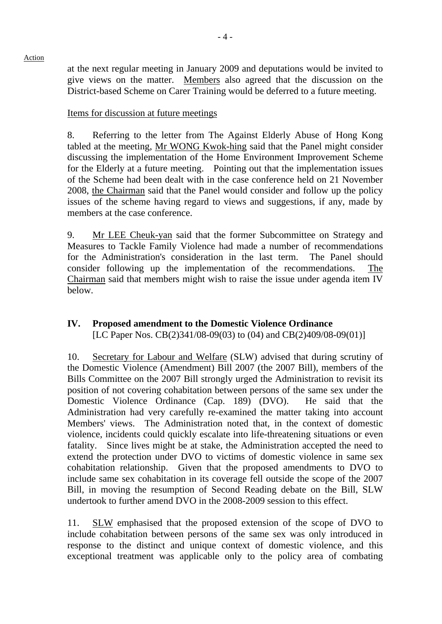at the next regular meeting in January 2009 and deputations would be invited to give views on the matter. Members also agreed that the discussion on the District-based Scheme on Carer Training would be deferred to a future meeting.

#### Items for discussion at future meetings

8. Referring to the letter from The Against Elderly Abuse of Hong Kong tabled at the meeting, Mr WONG Kwok-hing said that the Panel might consider discussing the implementation of the Home Environment Improvement Scheme for the Elderly at a future meeting. Pointing out that the implementation issues of the Scheme had been dealt with in the case conference held on 21 November 2008, the Chairman said that the Panel would consider and follow up the policy issues of the scheme having regard to views and suggestions, if any, made by members at the case conference.

9. Mr LEE Cheuk-yan said that the former Subcommittee on Strategy and Measures to Tackle Family Violence had made a number of recommendations for the Administration's consideration in the last term. The Panel should consider following up the implementation of the recommendations. The Chairman said that members might wish to raise the issue under agenda item IV below.

#### **IV. Proposed amendment to the Domestic Violence Ordinance**  [LC Paper Nos. CB(2)341/08-09(03) to (04) and CB(2)409/08-09(01)]

10. Secretary for Labour and Welfare (SLW) advised that during scrutiny of the Domestic Violence (Amendment) Bill 2007 (the 2007 Bill), members of the Bills Committee on the 2007 Bill strongly urged the Administration to revisit its position of not covering cohabitation between persons of the same sex under the Domestic Violence Ordinance (Cap. 189) (DVO). He said that the Administration had very carefully re-examined the matter taking into account Members' views. The Administration noted that, in the context of domestic violence, incidents could quickly escalate into life-threatening situations or even fatality. Since lives might be at stake, the Administration accepted the need to extend the protection under DVO to victims of domestic violence in same sex cohabitation relationship. Given that the proposed amendments to DVO to include same sex cohabitation in its coverage fell outside the scope of the 2007 Bill, in moving the resumption of Second Reading debate on the Bill, SLW undertook to further amend DVO in the 2008-2009 session to this effect.

11. SLW emphasised that the proposed extension of the scope of DVO to include cohabitation between persons of the same sex was only introduced in response to the distinct and unique context of domestic violence, and this exceptional treatment was applicable only to the policy area of combating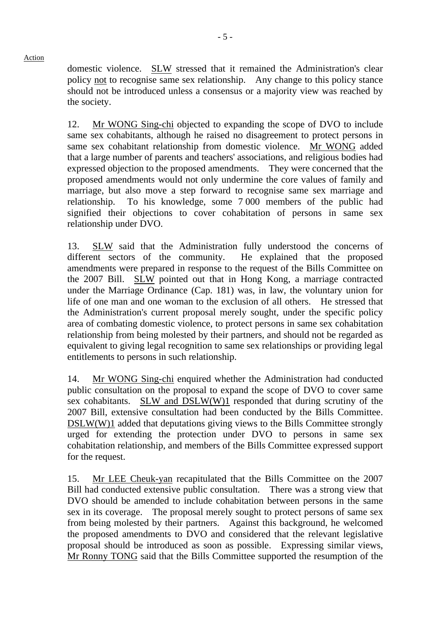Action

domestic violence. SLW stressed that it remained the Administration's clear policy not to recognise same sex relationship. Any change to this policy stance should not be introduced unless a consensus or a majority view was reached by the society.

12. Mr WONG Sing-chi objected to expanding the scope of DVO to include same sex cohabitants, although he raised no disagreement to protect persons in same sex cohabitant relationship from domestic violence. Mr WONG added that a large number of parents and teachers' associations, and religious bodies had expressed objection to the proposed amendments. They were concerned that the proposed amendments would not only undermine the core values of family and marriage, but also move a step forward to recognise same sex marriage and relationship. To his knowledge, some 7 000 members of the public had signified their objections to cover cohabitation of persons in same sex relationship under DVO.

13. SLW said that the Administration fully understood the concerns of different sectors of the community. He explained that the proposed amendments were prepared in response to the request of the Bills Committee on the 2007 Bill. SLW pointed out that in Hong Kong, a marriage contracted under the Marriage Ordinance (Cap. 181) was, in law, the voluntary union for life of one man and one woman to the exclusion of all others. He stressed that the Administration's current proposal merely sought, under the specific policy area of combating domestic violence, to protect persons in same sex cohabitation relationship from being molested by their partners, and should not be regarded as equivalent to giving legal recognition to same sex relationships or providing legal entitlements to persons in such relationship.

14. Mr WONG Sing-chi enquired whether the Administration had conducted public consultation on the proposal to expand the scope of DVO to cover same sex cohabitants. SLW and DSLW(W)1 responded that during scrutiny of the 2007 Bill, extensive consultation had been conducted by the Bills Committee. DSLW(W)1 added that deputations giving views to the Bills Committee strongly urged for extending the protection under DVO to persons in same sex cohabitation relationship, and members of the Bills Committee expressed support for the request.

15. Mr LEE Cheuk-yan recapitulated that the Bills Committee on the 2007 Bill had conducted extensive public consultation. There was a strong view that DVO should be amended to include cohabitation between persons in the same sex in its coverage. The proposal merely sought to protect persons of same sex from being molested by their partners. Against this background, he welcomed the proposed amendments to DVO and considered that the relevant legislative proposal should be introduced as soon as possible. Expressing similar views, Mr Ronny TONG said that the Bills Committee supported the resumption of the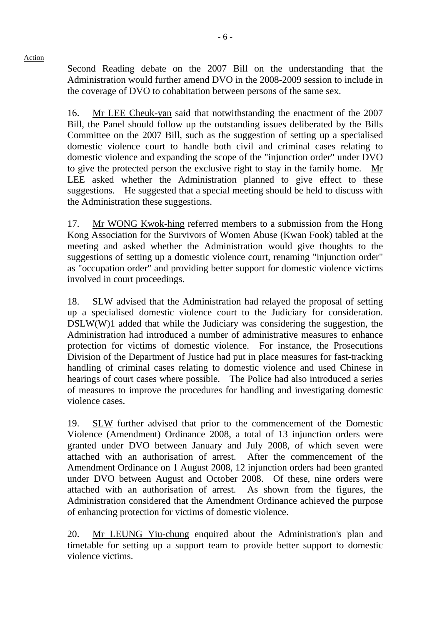Second Reading debate on the 2007 Bill on the understanding that the Administration would further amend DVO in the 2008-2009 session to include in the coverage of DVO to cohabitation between persons of the same sex.

16. Mr LEE Cheuk-yan said that notwithstanding the enactment of the 2007 Bill, the Panel should follow up the outstanding issues deliberated by the Bills Committee on the 2007 Bill, such as the suggestion of setting up a specialised domestic violence court to handle both civil and criminal cases relating to domestic violence and expanding the scope of the "injunction order" under DVO to give the protected person the exclusive right to stay in the family home. Mr LEE asked whether the Administration planned to give effect to these suggestions. He suggested that a special meeting should be held to discuss with the Administration these suggestions.

17. Mr WONG Kwok-hing referred members to a submission from the Hong Kong Association for the Survivors of Women Abuse (Kwan Fook) tabled at the meeting and asked whether the Administration would give thoughts to the suggestions of setting up a domestic violence court, renaming "injunction order" as "occupation order" and providing better support for domestic violence victims involved in court proceedings.

18. SLW advised that the Administration had relayed the proposal of setting up a specialised domestic violence court to the Judiciary for consideration. DSLW(W)1 added that while the Judiciary was considering the suggestion, the Administration had introduced a number of administrative measures to enhance protection for victims of domestic violence. For instance, the Prosecutions Division of the Department of Justice had put in place measures for fast-tracking handling of criminal cases relating to domestic violence and used Chinese in hearings of court cases where possible. The Police had also introduced a series of measures to improve the procedures for handling and investigating domestic violence cases.

19. SLW further advised that prior to the commencement of the Domestic Violence (Amendment) Ordinance 2008, a total of 13 injunction orders were granted under DVO between January and July 2008, of which seven were attached with an authorisation of arrest. After the commencement of the Amendment Ordinance on 1 August 2008, 12 injunction orders had been granted under DVO between August and October 2008. Of these, nine orders were attached with an authorisation of arrest. As shown from the figures, the Administration considered that the Amendment Ordinance achieved the purpose of enhancing protection for victims of domestic violence.

20. Mr LEUNG Yiu-chung enquired about the Administration's plan and timetable for setting up a support team to provide better support to domestic violence victims.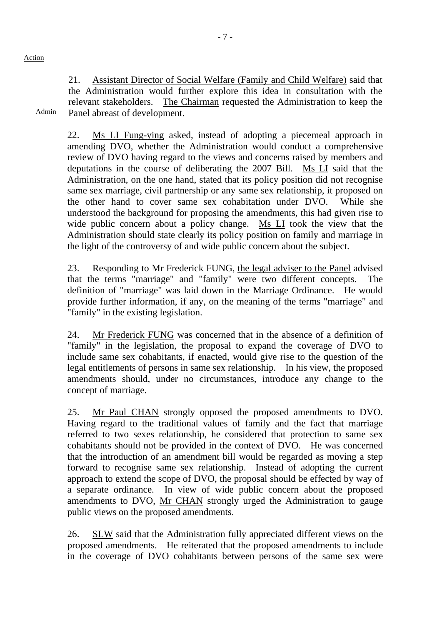Admin

21. Assistant Director of Social Welfare (Family and Child Welfare) said that the Administration would further explore this idea in consultation with the relevant stakeholders. The Chairman requested the Administration to keep the Panel abreast of development.

22. Ms LI Fung-ying asked, instead of adopting a piecemeal approach in amending DVO, whether the Administration would conduct a comprehensive review of DVO having regard to the views and concerns raised by members and deputations in the course of deliberating the 2007 Bill. Ms LI said that the Administration, on the one hand, stated that its policy position did not recognise same sex marriage, civil partnership or any same sex relationship, it proposed on the other hand to cover same sex cohabitation under DVO. While she understood the background for proposing the amendments, this had given rise to wide public concern about a policy change. Ms LI took the view that the Administration should state clearly its policy position on family and marriage in the light of the controversy of and wide public concern about the subject.

23. Responding to Mr Frederick FUNG, the legal adviser to the Panel advised that the terms "marriage" and "family" were two different concepts. The definition of "marriage" was laid down in the Marriage Ordinance. He would provide further information, if any, on the meaning of the terms "marriage" and "family" in the existing legislation.

24. Mr Frederick FUNG was concerned that in the absence of a definition of "family" in the legislation, the proposal to expand the coverage of DVO to include same sex cohabitants, if enacted, would give rise to the question of the legal entitlements of persons in same sex relationship. In his view, the proposed amendments should, under no circumstances, introduce any change to the concept of marriage.

25. Mr Paul CHAN strongly opposed the proposed amendments to DVO. Having regard to the traditional values of family and the fact that marriage referred to two sexes relationship, he considered that protection to same sex cohabitants should not be provided in the context of DVO. He was concerned that the introduction of an amendment bill would be regarded as moving a step forward to recognise same sex relationship. Instead of adopting the current approach to extend the scope of DVO, the proposal should be effected by way of a separate ordinance. In view of wide public concern about the proposed amendments to DVO, Mr CHAN strongly urged the Administration to gauge public views on the proposed amendments.

26. SLW said that the Administration fully appreciated different views on the proposed amendments. He reiterated that the proposed amendments to include in the coverage of DVO cohabitants between persons of the same sex were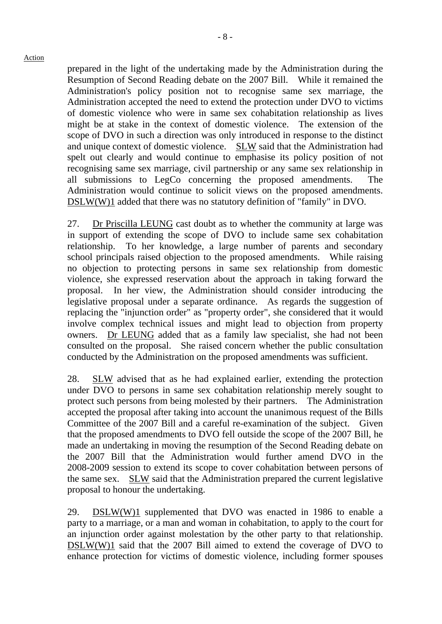prepared in the light of the undertaking made by the Administration during the Resumption of Second Reading debate on the 2007 Bill. While it remained the Administration's policy position not to recognise same sex marriage, the Administration accepted the need to extend the protection under DVO to victims of domestic violence who were in same sex cohabitation relationship as lives might be at stake in the context of domestic violence. The extension of the scope of DVO in such a direction was only introduced in response to the distinct and unique context of domestic violence. SLW said that the Administration had spelt out clearly and would continue to emphasise its policy position of not recognising same sex marriage, civil partnership or any same sex relationship in all submissions to LegCo concerning the proposed amendments. The Administration would continue to solicit views on the proposed amendments. DSLW(W)1 added that there was no statutory definition of "family" in DVO.

27. Dr Priscilla LEUNG cast doubt as to whether the community at large was in support of extending the scope of DVO to include same sex cohabitation relationship. To her knowledge, a large number of parents and secondary school principals raised objection to the proposed amendments. While raising no objection to protecting persons in same sex relationship from domestic violence, she expressed reservation about the approach in taking forward the proposal. In her view, the Administration should consider introducing the legislative proposal under a separate ordinance. As regards the suggestion of replacing the "injunction order" as "property order", she considered that it would involve complex technical issues and might lead to objection from property owners. Dr LEUNG added that as a family law specialist, she had not been consulted on the proposal. She raised concern whether the public consultation conducted by the Administration on the proposed amendments was sufficient.

28. SLW advised that as he had explained earlier, extending the protection under DVO to persons in same sex cohabitation relationship merely sought to protect such persons from being molested by their partners. The Administration accepted the proposal after taking into account the unanimous request of the Bills Committee of the 2007 Bill and a careful re-examination of the subject. Given that the proposed amendments to DVO fell outside the scope of the 2007 Bill, he made an undertaking in moving the resumption of the Second Reading debate on the 2007 Bill that the Administration would further amend DVO in the 2008-2009 session to extend its scope to cover cohabitation between persons of the same sex. SLW said that the Administration prepared the current legislative proposal to honour the undertaking.

29. DSLW(W)1 supplemented that DVO was enacted in 1986 to enable a party to a marriage, or a man and woman in cohabitation, to apply to the court for an injunction order against molestation by the other party to that relationship. DSLW(W)1 said that the 2007 Bill aimed to extend the coverage of DVO to enhance protection for victims of domestic violence, including former spouses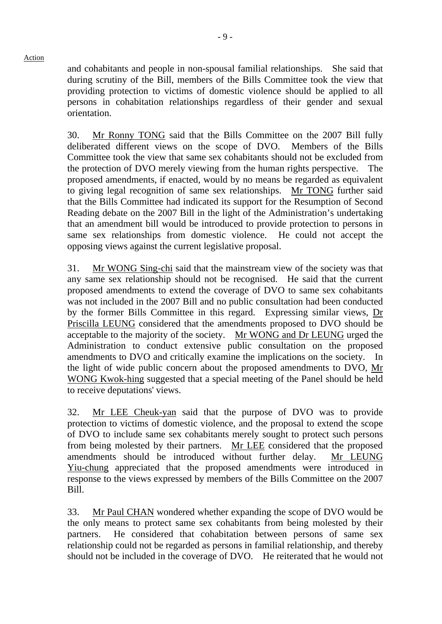and cohabitants and people in non-spousal familial relationships. She said that during scrutiny of the Bill, members of the Bills Committee took the view that providing protection to victims of domestic violence should be applied to all persons in cohabitation relationships regardless of their gender and sexual orientation.

30. Mr Ronny TONG said that the Bills Committee on the 2007 Bill fully deliberated different views on the scope of DVO. Members of the Bills Committee took the view that same sex cohabitants should not be excluded from the protection of DVO merely viewing from the human rights perspective. The proposed amendments, if enacted, would by no means be regarded as equivalent to giving legal recognition of same sex relationships. Mr TONG further said that the Bills Committee had indicated its support for the Resumption of Second Reading debate on the 2007 Bill in the light of the Administration's undertaking that an amendment bill would be introduced to provide protection to persons in same sex relationships from domestic violence. He could not accept the opposing views against the current legislative proposal.

31. Mr WONG Sing-chi said that the mainstream view of the society was that any same sex relationship should not be recognised. He said that the current proposed amendments to extend the coverage of DVO to same sex cohabitants was not included in the 2007 Bill and no public consultation had been conducted by the former Bills Committee in this regard. Expressing similar views, Dr Priscilla LEUNG considered that the amendments proposed to DVO should be acceptable to the majority of the society. Mr WONG and Dr LEUNG urged the Administration to conduct extensive public consultation on the proposed amendments to DVO and critically examine the implications on the society. In the light of wide public concern about the proposed amendments to DVO, Mr WONG Kwok-hing suggested that a special meeting of the Panel should be held to receive deputations' views.

32. Mr LEE Cheuk-yan said that the purpose of DVO was to provide protection to victims of domestic violence, and the proposal to extend the scope of DVO to include same sex cohabitants merely sought to protect such persons from being molested by their partners. Mr LEE considered that the proposed amendments should be introduced without further delay. Mr LEUNG Yiu-chung appreciated that the proposed amendments were introduced in response to the views expressed by members of the Bills Committee on the 2007 Bill.

33. Mr Paul CHAN wondered whether expanding the scope of DVO would be the only means to protect same sex cohabitants from being molested by their partners. He considered that cohabitation between persons of same sex relationship could not be regarded as persons in familial relationship, and thereby should not be included in the coverage of DVO. He reiterated that he would not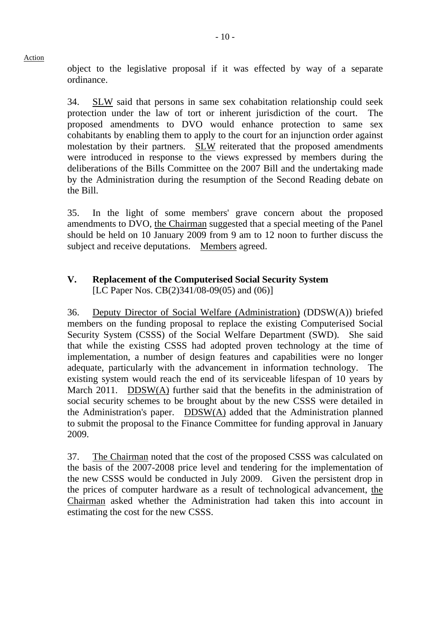object to the legislative proposal if it was effected by way of a separate ordinance.

34. SLW said that persons in same sex cohabitation relationship could seek protection under the law of tort or inherent jurisdiction of the court. The proposed amendments to DVO would enhance protection to same sex cohabitants by enabling them to apply to the court for an injunction order against molestation by their partners. SLW reiterated that the proposed amendments were introduced in response to the views expressed by members during the deliberations of the Bills Committee on the 2007 Bill and the undertaking made by the Administration during the resumption of the Second Reading debate on the Bill.

35. In the light of some members' grave concern about the proposed amendments to DVO, the Chairman suggested that a special meeting of the Panel should be held on 10 January 2009 from 9 am to 12 noon to further discuss the subject and receive deputations. Members agreed.

# **V. Replacement of the Computerised Social Security System**  [LC Paper Nos. CB(2)341/08-09(05) and (06)]

36. Deputy Director of Social Welfare (Administration) (DDSW(A)) briefed members on the funding proposal to replace the existing Computerised Social Security System (CSSS) of the Social Welfare Department (SWD). She said that while the existing CSSS had adopted proven technology at the time of implementation, a number of design features and capabilities were no longer adequate, particularly with the advancement in information technology. The existing system would reach the end of its serviceable lifespan of 10 years by March 2011. DDSW(A) further said that the benefits in the administration of social security schemes to be brought about by the new CSSS were detailed in the Administration's paper. DDSW(A) added that the Administration planned to submit the proposal to the Finance Committee for funding approval in January 2009.

37. The Chairman noted that the cost of the proposed CSSS was calculated on the basis of the 2007-2008 price level and tendering for the implementation of the new CSSS would be conducted in July 2009. Given the persistent drop in the prices of computer hardware as a result of technological advancement, the Chairman asked whether the Administration had taken this into account in estimating the cost for the new CSSS.

## Action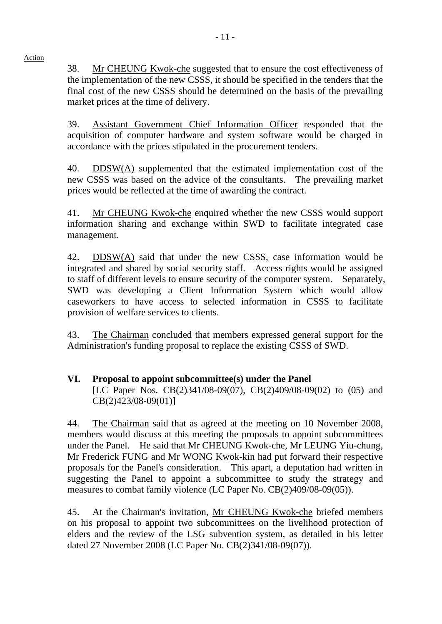38. Mr CHEUNG Kwok-che suggested that to ensure the cost effectiveness of the implementation of the new CSSS, it should be specified in the tenders that the final cost of the new CSSS should be determined on the basis of the prevailing market prices at the time of delivery.

39. Assistant Government Chief Information Officer responded that the acquisition of computer hardware and system software would be charged in accordance with the prices stipulated in the procurement tenders.

40. DDSW(A) supplemented that the estimated implementation cost of the new CSSS was based on the advice of the consultants. The prevailing market prices would be reflected at the time of awarding the contract.

41. Mr CHEUNG Kwok-che enquired whether the new CSSS would support information sharing and exchange within SWD to facilitate integrated case management.

42. DDSW(A) said that under the new CSSS, case information would be integrated and shared by social security staff. Access rights would be assigned to staff of different levels to ensure security of the computer system. Separately, SWD was developing a Client Information System which would allow caseworkers to have access to selected information in CSSS to facilitate provision of welfare services to clients.

43. The Chairman concluded that members expressed general support for the Administration's funding proposal to replace the existing CSSS of SWD.

# **VI. Proposal to appoint subcommittee(s) under the Panel**  [LC Paper Nos. CB(2)341/08-09(07), CB(2)409/08-09(02) to (05) and CB(2)423/08-09(01)]

44. The Chairman said that as agreed at the meeting on 10 November 2008, members would discuss at this meeting the proposals to appoint subcommittees under the Panel. He said that Mr CHEUNG Kwok-che, Mr LEUNG Yiu-chung, Mr Frederick FUNG and Mr WONG Kwok-kin had put forward their respective proposals for the Panel's consideration. This apart, a deputation had written in suggesting the Panel to appoint a subcommittee to study the strategy and measures to combat family violence (LC Paper No. CB(2)409/08-09(05)).

45. At the Chairman's invitation, Mr CHEUNG Kwok-che briefed members on his proposal to appoint two subcommittees on the livelihood protection of elders and the review of the LSG subvention system, as detailed in his letter dated 27 November 2008 (LC Paper No. CB(2)341/08-09(07)).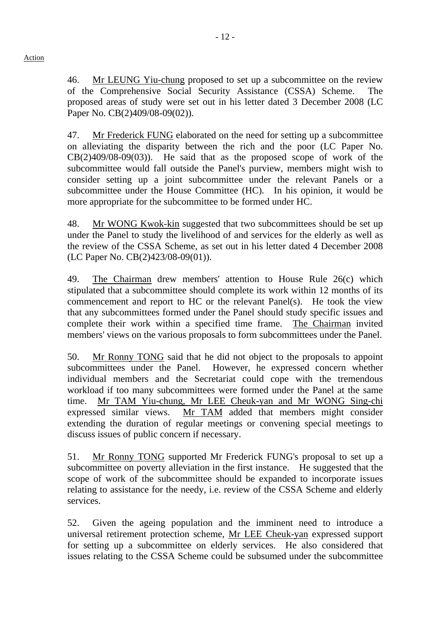46. Mr LEUNG Yiu-chung proposed to set up a subcommittee on the review of the Comprehensive Social Security Assistance (CSSA) Scheme. The proposed areas of study were set out in his letter dated 3 December 2008 (LC Paper No. CB(2)409/08-09(02)).

47. Mr Frederick FUNG elaborated on the need for setting up a subcommittee on alleviating the disparity between the rich and the poor (LC Paper No.  $CB(2)409/08-09(03)$ . He said that as the proposed scope of work of the subcommittee would fall outside the Panel's purview, members might wish to consider setting up a joint subcommittee under the relevant Panels or a subcommittee under the House Committee (HC). In his opinion, it would be more appropriate for the subcommittee to be formed under HC.

48. Mr WONG Kwok-kin suggested that two subcommittees should be set up under the Panel to study the livelihood of and services for the elderly as well as the review of the CSSA Scheme, as set out in his letter dated 4 December 2008 (LC Paper No. CB(2)423/08-09(01)).

49. The Chairman drew members' attention to House Rule 26(c) which stipulated that a subcommittee should complete its work within 12 months of its commencement and report to HC or the relevant Panel(s). He took the view that any subcommittees formed under the Panel should study specific issues and complete their work within a specified time frame. The Chairman invited members' views on the various proposals to form subcommittees under the Panel.

50. Mr Ronny TONG said that he did not object to the proposals to appoint subcommittees under the Panel. However, he expressed concern whether individual members and the Secretariat could cope with the tremendous workload if too many subcommittees were formed under the Panel at the same time. Mr TAM Yiu-chung, Mr LEE Cheuk-yan and Mr WONG Sing-chi expressed similar views. Mr TAM added that members might consider extending the duration of regular meetings or convening special meetings to discuss issues of public concern if necessary.

51. Mr Ronny TONG supported Mr Frederick FUNG's proposal to set up a subcommittee on poverty alleviation in the first instance. He suggested that the scope of work of the subcommittee should be expanded to incorporate issues relating to assistance for the needy, i.e. review of the CSSA Scheme and elderly services.

52. Given the ageing population and the imminent need to introduce a universal retirement protection scheme, Mr LEE Cheuk-yan expressed support for setting up a subcommittee on elderly services. He also considered that issues relating to the CSSA Scheme could be subsumed under the subcommittee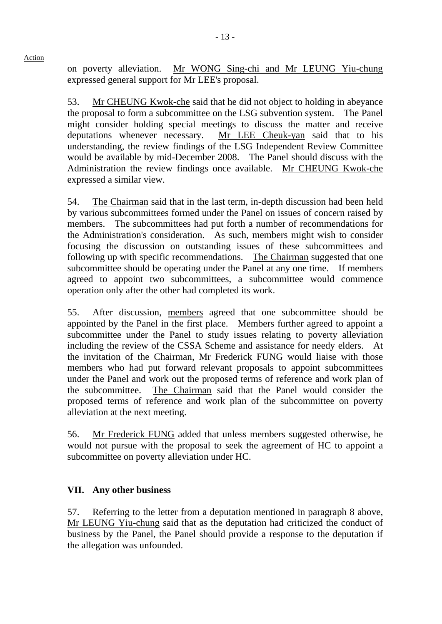on poverty alleviation. Mr WONG Sing-chi and Mr LEUNG Yiu-chung expressed general support for Mr LEE's proposal.

53. Mr CHEUNG Kwok-che said that he did not object to holding in abeyance the proposal to form a subcommittee on the LSG subvention system. The Panel might consider holding special meetings to discuss the matter and receive deputations whenever necessary. Mr LEE Cheuk-yan said that to his understanding, the review findings of the LSG Independent Review Committee would be available by mid-December 2008. The Panel should discuss with the Administration the review findings once available. Mr CHEUNG Kwok-che expressed a similar view.

54. The Chairman said that in the last term, in-depth discussion had been held by various subcommittees formed under the Panel on issues of concern raised by members. The subcommittees had put forth a number of recommendations for the Administration's consideration. As such, members might wish to consider focusing the discussion on outstanding issues of these subcommittees and following up with specific recommendations. The Chairman suggested that one subcommittee should be operating under the Panel at any one time. If members agreed to appoint two subcommittees, a subcommittee would commence operation only after the other had completed its work.

55. After discussion, members agreed that one subcommittee should be appointed by the Panel in the first place. Members further agreed to appoint a subcommittee under the Panel to study issues relating to poverty alleviation including the review of the CSSA Scheme and assistance for needy elders. At the invitation of the Chairman, Mr Frederick FUNG would liaise with those members who had put forward relevant proposals to appoint subcommittees under the Panel and work out the proposed terms of reference and work plan of the subcommittee. The Chairman said that the Panel would consider the proposed terms of reference and work plan of the subcommittee on poverty alleviation at the next meeting.

56. Mr Frederick FUNG added that unless members suggested otherwise, he would not pursue with the proposal to seek the agreement of HC to appoint a subcommittee on poverty alleviation under HC.

# **VII. Any other business**

57. Referring to the letter from a deputation mentioned in paragraph 8 above, Mr LEUNG Yiu-chung said that as the deputation had criticized the conduct of business by the Panel, the Panel should provide a response to the deputation if the allegation was unfounded.

Action